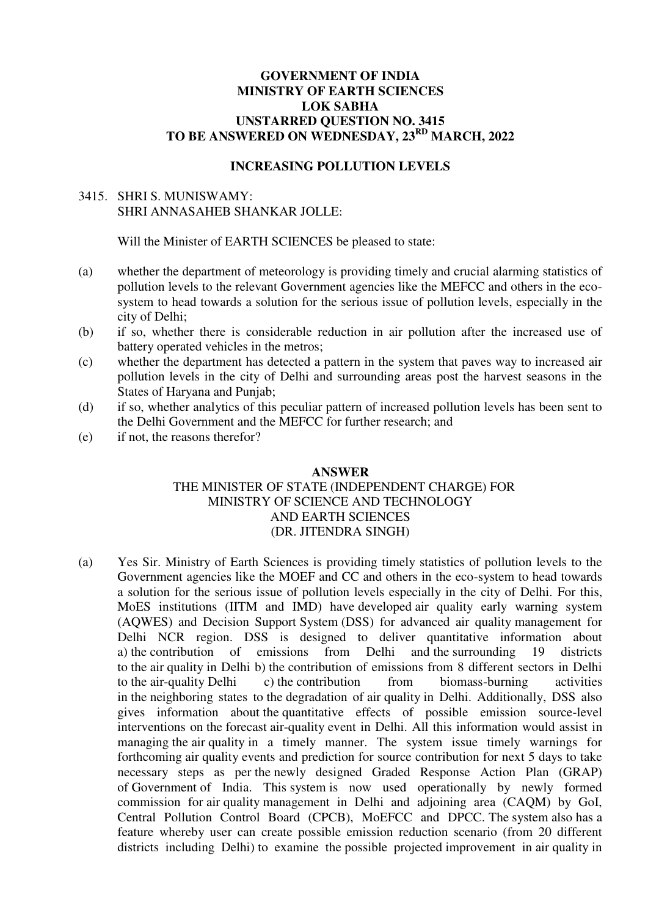### **GOVERNMENT OF INDIA MINISTRY OF EARTH SCIENCES LOK SABHA UNSTARRED QUESTION NO. 3415 TO BE ANSWERED ON WEDNESDAY, 23RD MARCH, 2022**

#### **INCREASING POLLUTION LEVELS**

# 3415. SHRI S. MUNISWAMY: SHRI ANNASAHEB SHANKAR JOLLE:

Will the Minister of EARTH SCIENCES be pleased to state:

- (a) whether the department of meteorology is providing timely and crucial alarming statistics of pollution levels to the relevant Government agencies like the MEFCC and others in the ecosystem to head towards a solution for the serious issue of pollution levels, especially in the city of Delhi;
- (b) if so, whether there is considerable reduction in air pollution after the increased use of battery operated vehicles in the metros;
- (c) whether the department has detected a pattern in the system that paves way to increased air pollution levels in the city of Delhi and surrounding areas post the harvest seasons in the States of Haryana and Punjab;
- (d) if so, whether analytics of this peculiar pattern of increased pollution levels has been sent to the Delhi Government and the MEFCC for further research; and
- (e) if not, the reasons therefor?

#### **ANSWER**

# THE MINISTER OF STATE (INDEPENDENT CHARGE) FOR MINISTRY OF SCIENCE AND TECHNOLOGY AND EARTH SCIENCES (DR. JITENDRA SINGH)

(a) Yes Sir. Ministry of Earth Sciences is providing timely statistics of pollution levels to the Government agencies like the MOEF and CC and others in the eco-system to head towards a solution for the serious issue of pollution levels especially in the city of Delhi. For this, MoES institutions (IITM and IMD) have developed air quality early warning system (AQWES) and Decision Support System (DSS) for advanced air quality management for Delhi NCR region. DSS is designed to deliver quantitative information about a) the contribution of emissions from Delhi and the surrounding 19 districts to the air quality in Delhi b) the contribution of emissions from 8 different sectors in Delhi to the air-quality Delhi c) the contribution from biomass-burning activities in the neighboring states to the degradation of air quality in Delhi. Additionally, DSS also gives information about the quantitative effects of possible emission source-level interventions on the forecast air-quality event in Delhi. All this information would assist in managing the air quality in a timely manner. The system issue timely warnings for forthcoming air quality events and prediction for source contribution for next 5 days to take necessary steps as per the newly designed Graded Response Action Plan (GRAP) of Government of India. This system is now used operationally by newly formed commission for air quality management in Delhi and adjoining area (CAQM) by GoI, Central Pollution Control Board (CPCB), MoEFCC and DPCC. The system also has a feature whereby user can create possible emission reduction scenario (from 20 different districts including Delhi) to examine the possible projected improvement in air quality in